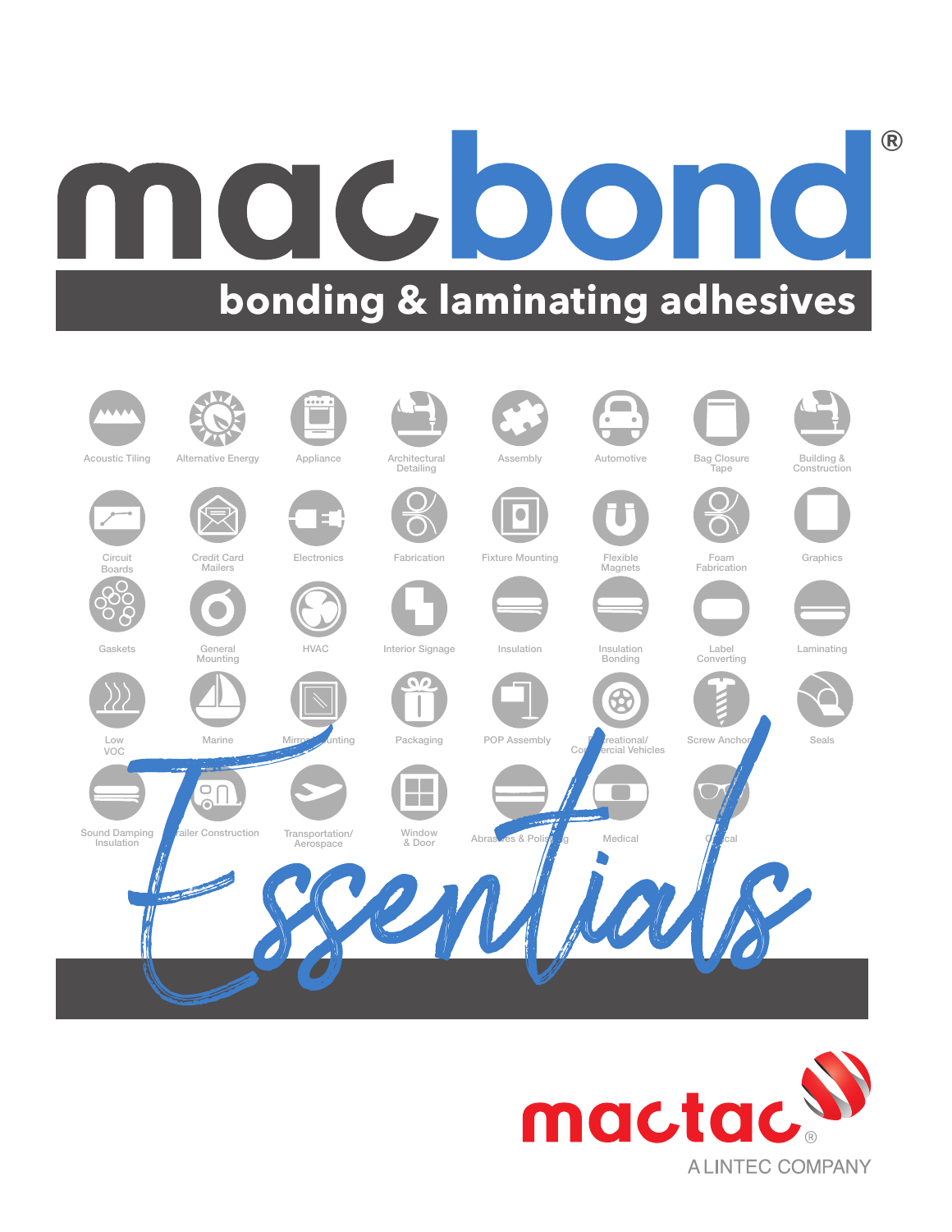## ®ac Dol  $\bullet$ **bonding & laminating adhesives**



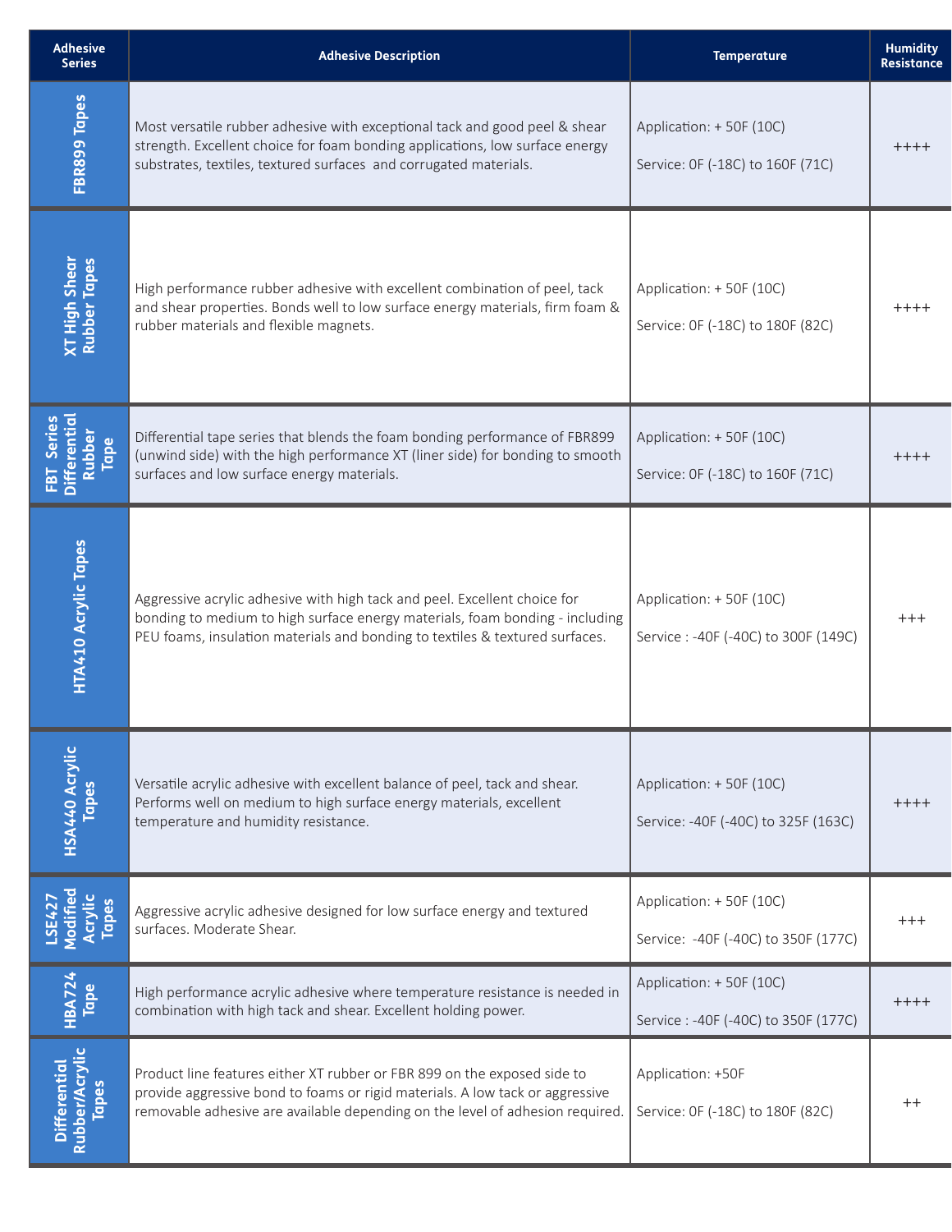| <b>FBR899 Tapes</b><br>Most versatile rubber adhesive with exceptional tack and good peel & shear<br>Application: +50F (10C)<br>strength. Excellent choice for foam bonding applications, low surface energy<br>$++++$                                                                                                                                 |
|--------------------------------------------------------------------------------------------------------------------------------------------------------------------------------------------------------------------------------------------------------------------------------------------------------------------------------------------------------|
| substrates, textiles, textured surfaces and corrugated materials.<br>Service: OF (-18C) to 160F (71C)                                                                                                                                                                                                                                                  |
| XT High Shear<br>Rubber Tapes<br>High performance rubber adhesive with excellent combination of peel, tack<br>Application: +50F (10C)<br>and shear properties. Bonds well to low surface energy materials, firm foam &<br>$+++++$<br>rubber materials and flexible magnets.<br>Service: OF (-18C) to 180F (82C)                                        |
| FBT Series<br>Differential<br>Rubber<br>Tape<br>Differential tape series that blends the foam bonding performance of FBR899<br>Application: +50F (10C)<br>(unwind side) with the high performance XT (liner side) for bonding to smooth<br>$+++++$<br>surfaces and low surface energy materials.<br>Service: OF (-18C) to 160F (71C)                   |
| <b>HTA410 Acrylic Tapes</b><br>Aggressive acrylic adhesive with high tack and peel. Excellent choice for<br>Application: +50F (10C)<br>bonding to medium to high surface energy materials, foam bonding - including<br>$+++$<br>PEU foams, insulation materials and bonding to textiles & textured surfaces.<br>Service: -40F (-40C) to 300F (149C)    |
| HSA440 Acrylic<br>Tapes<br>Versatile acrylic adhesive with excellent balance of peel, tack and shear.<br>Application: +50F (10C)<br>Performs well on medium to high surface energy materials, excellent<br>$++++$<br>temperature and humidity resistance.<br>Service: -40F (-40C) to 325F (163C)                                                       |
| Modified<br>Acrylic<br>Application: +50F (10C)<br><b>LSE427</b><br><b>Tapes</b><br>Aggressive acrylic adhesive designed for low surface energy and textured<br>$+++$<br>surfaces. Moderate Shear.<br>Service: -40F (-40C) to 350F (177C)                                                                                                               |
| HBA724<br>Tape<br>Application: +50F (10C)<br>High performance acrylic adhesive where temperature resistance is needed in<br>$++++$<br>combination with high tack and shear. Excellent holding power.<br>Service: -40F (-40C) to 350F (177C)                                                                                                            |
| Differential<br>Rubber/Acrylic<br>Tapes<br>Product line features either XT rubber or FBR 899 on the exposed side to<br>Application: +50F<br>provide aggressive bond to foams or rigid materials. A low tack or aggressive<br>$++$<br>removable adhesive are available depending on the level of adhesion required.<br>Service: OF (-18C) to 180F (82C) |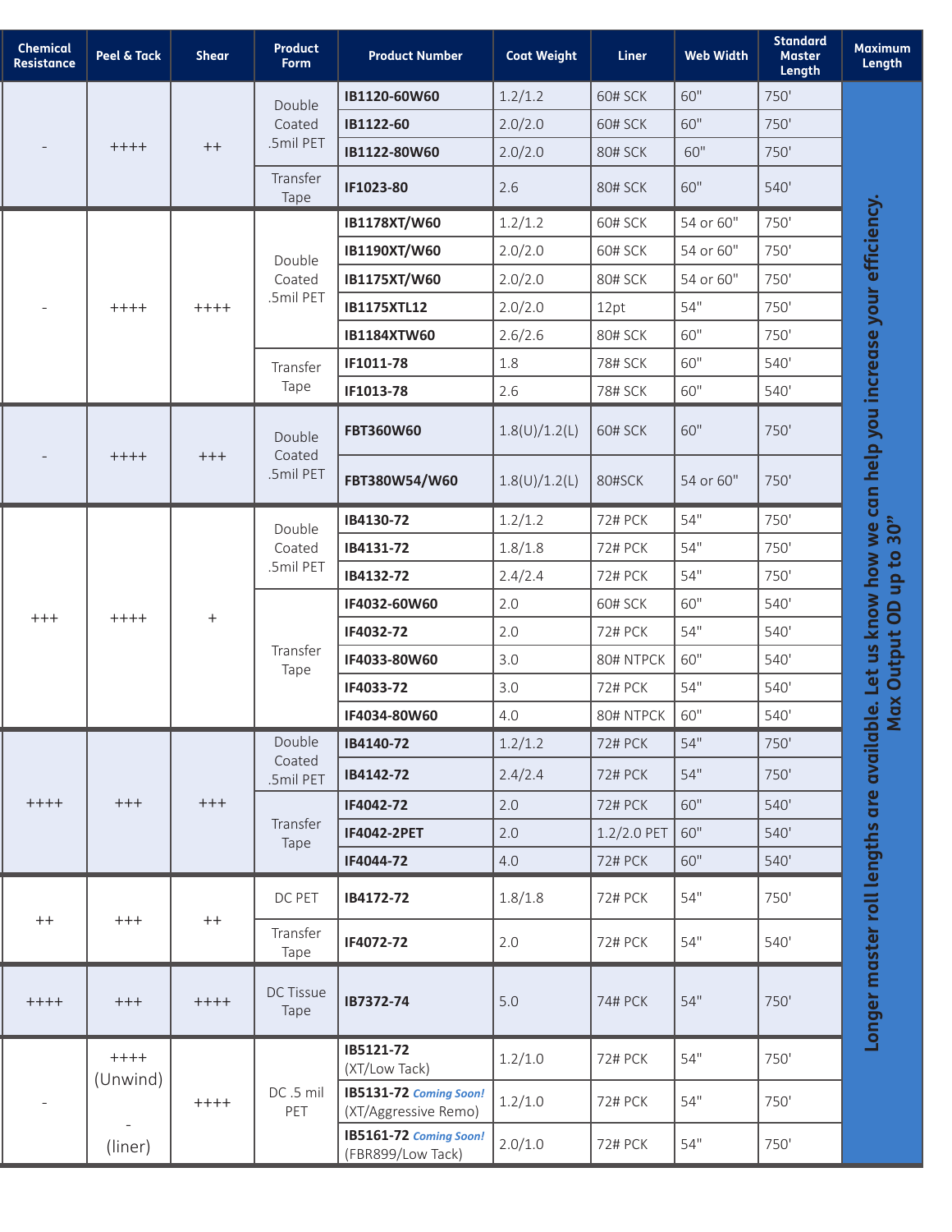| Chemical<br>Resistance | Peel & Tack         | <b>Shear</b> | Product<br><b>Form</b>        | <b>Product Number</b>                          | <b>Coat Weight</b> | Liner          | <b>Web Width</b> | <b>Standard</b><br><b>Master</b><br>Length | <b>Maximum</b><br>Length                                                                  |
|------------------------|---------------------|--------------|-------------------------------|------------------------------------------------|--------------------|----------------|------------------|--------------------------------------------|-------------------------------------------------------------------------------------------|
|                        | $+++++$             | $++$         | Double<br>Coated<br>.5mil PET | IB1120-60W60                                   | 1.2/1.2            | <b>60# SCK</b> | 60"              | 750'                                       |                                                                                           |
|                        |                     |              |                               | IB1122-60                                      | 2.0/2.0            | <b>60# SCK</b> | 60"              | 750'                                       |                                                                                           |
|                        |                     |              |                               | IB1122-80W60                                   | 2.0/2.0            | 80# SCK        | 60"              | 750'                                       |                                                                                           |
|                        |                     |              | Transfer<br>Tape              | IF1023-80                                      | 2.6                | 80# SCK        | 60"              | 540'                                       |                                                                                           |
|                        | $++++$              | $++++$       | Double<br>Coated<br>.5mil PET | IB1178XT/W60                                   | 1.2/1.2            | 60# SCK        | 54 or 60"        | 750'                                       |                                                                                           |
|                        |                     |              |                               | IB1190XT/W60                                   | 2.0/2.0            | 60# SCK        | 54 or 60"        | 750'                                       |                                                                                           |
|                        |                     |              |                               | IB1175XT/W60                                   | 2.0/2.0            | 80# SCK        | 54 or 60"        | 750'                                       |                                                                                           |
|                        |                     |              |                               | <b>IB1175XTL12</b>                             | 2.0/2.0            | 12pt           | 54"              | 750'                                       |                                                                                           |
|                        |                     |              |                               | <b>IB1184XTW60</b>                             | 2.6/2.6            | 80# SCK        | 60"              | 750'                                       |                                                                                           |
|                        |                     |              | Transfer<br>Tape              | IF1011-78                                      | 1.8                | 78# SCK        | 60"              | 540'                                       |                                                                                           |
|                        |                     |              |                               | IF1013-78                                      | 2.6                | 78# SCK        | 60"              | 540'                                       |                                                                                           |
|                        | $+++++$             | $+++$        | Double<br>Coated<br>.5mil PET | <b>FBT360W60</b>                               | 1.8(U)/1.2(L)      | 60# SCK        | 60"              | 750'                                       |                                                                                           |
|                        |                     |              |                               | FBT380W54/W60                                  | 1.8(U)/1.2(L)      | 80#SCK         | 54 or 60"        | 750'                                       | ble. Let us know how we can help you increase your efficiency.<br>Max Output OD up to 30" |
| $+++$                  | $++++$              | $^{+}$       | Double<br>Coated<br>.5mil PET | IB4130-72                                      | 1.2/1.2            | 72# PCK        | 54"              | 750'                                       |                                                                                           |
|                        |                     |              |                               | IB4131-72                                      | 1.8/1.8            | 72# PCK        | 54"              | 750'                                       |                                                                                           |
|                        |                     |              |                               | IB4132-72                                      | 2.4/2.4            | 72# PCK        | 54"              | 750'                                       |                                                                                           |
|                        |                     |              | Transfer<br>Tape              | IF4032-60W60                                   | 2.0                | <b>60# SCK</b> | 60"              | 540'                                       |                                                                                           |
|                        |                     |              |                               | IF4032-72                                      | 2.0                | 72# PCK        | 54"              | 540'                                       |                                                                                           |
|                        |                     |              |                               | IF4033-80W60                                   | 3.0                | 80# NTPCK      | 60"              | 540'                                       |                                                                                           |
|                        |                     |              |                               | IF4033-72                                      | 3.0                | 72# PCK        | 54"              | 540'                                       |                                                                                           |
|                        |                     |              |                               | IF4034-80W60                                   | 4.0                | 80# NTPCK      | 60"              | 540'                                       |                                                                                           |
| $++++-$                | $+++$               | $+++$        | Double<br>Coated<br>.5mil PET | IB4140-72                                      | 1.2/1.2            | <b>72# PCK</b> | 54"              | 750'                                       |                                                                                           |
|                        |                     |              |                               | IB4142-72                                      | 2.4/2.4            | <b>72# PCK</b> | 54"              | 750'                                       | Longer master roll lengths are availa                                                     |
|                        |                     |              | Transfer<br>Tape              | IF4042-72                                      | 2.0                | <b>72# PCK</b> | 60"              | 540'                                       |                                                                                           |
|                        |                     |              |                               | <b>IF4042-2PET</b>                             | 2.0                | 1.2/2.0 PET    | 60"              | 540'                                       |                                                                                           |
|                        |                     |              |                               | IF4044-72                                      | 4.0                | <b>72# PCK</b> | 60"              | 540'                                       |                                                                                           |
| $++$                   | $^{+++}$            | $++$         | DC PET                        | IB4172-72                                      | 1.8/1.8            | <b>72# PCK</b> | 54"              | 750'                                       |                                                                                           |
|                        |                     |              | Transfer<br>Tape              | IF4072-72                                      | 2.0                | 72# PCK        | 54"              | 540'                                       |                                                                                           |
| $+++++$                | $+++$               | $+++++$      | DC Tissue<br>Tape             | IB7372-74                                      | 5.0                | <b>74# PCK</b> | 54"              | 750'                                       |                                                                                           |
|                        | $+++++$<br>(Unwind) | $++++$       | DC .5 mil<br>PET              | IB5121-72<br>(XT/Low Tack)                     | 1.2/1.0            | 72# PCK        | 54"              | 750'                                       |                                                                                           |
|                        |                     |              |                               | IB5131-72 Coming Soon!<br>(XT/Aggressive Remo) | 1.2/1.0            | <b>72# PCK</b> | 54"              | 750'                                       |                                                                                           |
|                        | (liner)             |              |                               | IB5161-72 Coming Soon!<br>(FBR899/Low Tack)    | 2.0/1.0            | 72# PCK        | 54"              | 750'                                       |                                                                                           |